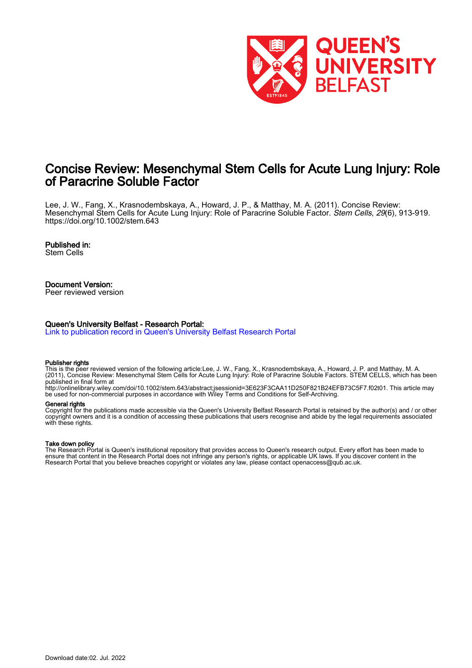

## Concise Review: Mesenchymal Stem Cells for Acute Lung Injury: Role of Paracrine Soluble Factor

Lee, J. W., Fang, X., Krasnodembskaya, A., Howard, J. P., & Matthay, M. A. (2011). Concise Review: Mesenchymal Stem Cells for Acute Lung Injury: Role of Paracrine Soluble Factor. Stem Cells, 29(6), 913-919. <https://doi.org/10.1002/stem.643>

#### Published in:

Stem Cells

## Document Version:

Peer reviewed version

#### Queen's University Belfast - Research Portal:

[Link to publication record in Queen's University Belfast Research Portal](https://pure.qub.ac.uk/en/publications/b2b9a89e-6103-461b-9db6-2c1e06f05087)

#### Publisher rights

This is the peer reviewed version of the following article:Lee, J. W., Fang, X., Krasnodembskaya, A., Howard, J. P. and Matthay, M. A. (2011), Concise Review: Mesenchymal Stem Cells for Acute Lung Injury: Role of Paracrine Soluble Factors. STEM CELLS, which has been published in final form at

http://onlinelibrary.wiley.com/doi/10.1002/stem.643/abstract;jsessionid=3E623F3CAA11D250F821B24EFB73C5F7.f02t01. This article may be used for non-commercial purposes in accordance with Wiley Terms and Conditions for Self-Archiving.

#### General rights

Copyright for the publications made accessible via the Queen's University Belfast Research Portal is retained by the author(s) and / or other copyright owners and it is a condition of accessing these publications that users recognise and abide by the legal requirements associated with these rights.

#### Take down policy

The Research Portal is Queen's institutional repository that provides access to Queen's research output. Every effort has been made to ensure that content in the Research Portal does not infringe any person's rights, or applicable UK laws. If you discover content in the Research Portal that you believe breaches copyright or violates any law, please contact openaccess@qub.ac.uk.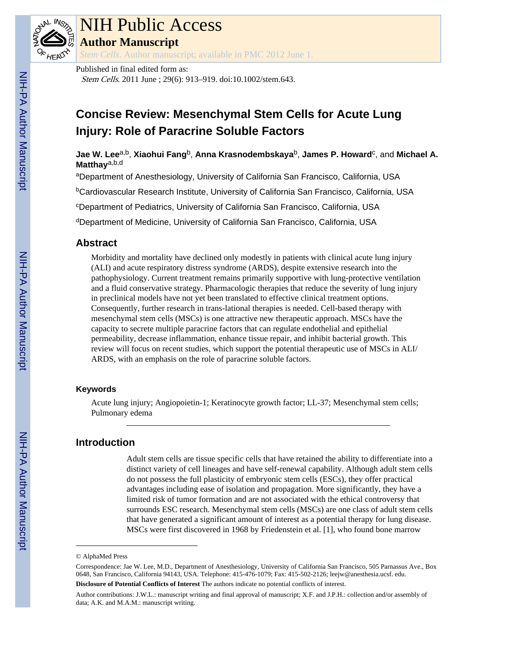

# NIH Public Access

**Author Manuscript**

*Stem Cells*. Author manuscript; available in PMC 2012 June 1.

Published in final edited form as:

Stem Cells. 2011 June ; 29(6): 913-919. doi:10.1002/stem.643.

# **Concise Review: Mesenchymal Stem Cells for Acute Lung Injury: Role of Paracrine Soluble Factors**

**Jae W. Lee**a,b, **Xiaohui Fang**b, **Anna Krasnodembskaya**b, **James P. Howard**<sup>c</sup> , and **Michael A. Matthay**a,b,d

aDepartment of Anesthesiology, University of California San Francisco, California, USA

<sup>b</sup>Cardiovascular Research Institute, University of California San Francisco, California, USA

<sup>c</sup>Department of Pediatrics, University of California San Francisco, California, USA

dDepartment of Medicine, University of California San Francisco, California, USA

## **Abstract**

Morbidity and mortality have declined only modestly in patients with clinical acute lung injury (ALI) and acute respiratory distress syndrome (ARDS), despite extensive research into the pathophysiology. Current treatment remains primarily supportive with lung-protective ventilation and a fluid conservative strategy. Pharmacologic therapies that reduce the severity of lung injury in preclinical models have not yet been translated to effective clinical treatment options. Consequently, further research in trans-lational therapies is needed. Cell-based therapy with mesenchymal stem cells (MSCs) is one attractive new therapeutic approach. MSCs have the capacity to secrete multiple paracrine factors that can regulate endothelial and epithelial permeability, decrease inflammation, enhance tissue repair, and inhibit bacterial growth. This review will focus on recent studies, which support the potential therapeutic use of MSCs in ALI/ ARDS, with an emphasis on the role of paracrine soluble factors.

#### **Keywords**

Acute lung injury; Angiopoietin-1; Keratinocyte growth factor; LL-37; Mesenchymal stem cells; Pulmonary edema

## **Introduction**

Adult stem cells are tissue specific cells that have retained the ability to differentiate into a distinct variety of cell lineages and have self-renewal capability. Although adult stem cells do not possess the full plasticity of embryonic stem cells (ESCs), they offer practical advantages including ease of isolation and propagation. More significantly, they have a limited risk of tumor formation and are not associated with the ethical controversy that surrounds ESC research. Mesenchymal stem cells (MSCs) are one class of adult stem cells that have generated a significant amount of interest as a potential therapy for lung disease. MSCs were first discovered in 1968 by Friedenstein et al. [1], who found bone marrow

Correspondence: Jae W. Lee, M.D., Department of Anesthesiology, University of California San Francisco, 505 Parnassus Ave., Box 0648, San Francisco, California 94143, USA. Telephone: 415-476-1079; Fax: 415-502-2126; leejw@anesthesia.ucsf. edu.

**Disclosure of Potential Conflicts of Interest** The authors indicate no potential conflicts of interest.

<sup>©</sup> AlphaMed Press

Author contributions: J.W.L.: manuscript writing and final approval of manuscript; X.F. and J.P.H.: collection and/or assembly of data; A.K. and M.A.M.: manuscript writing.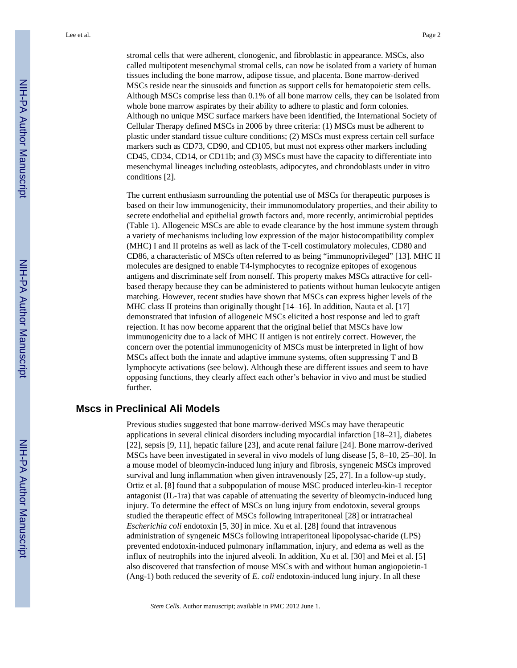stromal cells that were adherent, clonogenic, and fibroblastic in appearance. MSCs, also called multipotent mesenchymal stromal cells, can now be isolated from a variety of human tissues including the bone marrow, adipose tissue, and placenta. Bone marrow-derived MSCs reside near the sinusoids and function as support cells for hematopoietic stem cells. Although MSCs comprise less than 0.1% of all bone marrow cells, they can be isolated from whole bone marrow aspirates by their ability to adhere to plastic and form colonies. Although no unique MSC surface markers have been identified, the International Society of Cellular Therapy defined MSCs in 2006 by three criteria: (1) MSCs must be adherent to plastic under standard tissue culture conditions; (2) MSCs must express certain cell surface markers such as CD73, CD90, and CD105, but must not express other markers including CD45, CD34, CD14, or CD11b; and (3) MSCs must have the capacity to differentiate into mesenchymal lineages including osteoblasts, adipocytes, and chrondoblasts under in vitro conditions [2].

The current enthusiasm surrounding the potential use of MSCs for therapeutic purposes is based on their low immunogenicity, their immunomodulatory properties, and their ability to secrete endothelial and epithelial growth factors and, more recently, antimicrobial peptides (Table 1). Allogeneic MSCs are able to evade clearance by the host immune system through a variety of mechanisms including low expression of the major histocompatibility complex (MHC) I and II proteins as well as lack of the T-cell costimulatory molecules, CD80 and CD86, a characteristic of MSCs often referred to as being "immunoprivileged" [13]. MHC II molecules are designed to enable T4-lymphocytes to recognize epitopes of exogenous antigens and discriminate self from nonself. This property makes MSCs attractive for cellbased therapy because they can be administered to patients without human leukocyte antigen matching. However, recent studies have shown that MSCs can express higher levels of the MHC class II proteins than originally thought [14–16]. In addition, Nauta et al. [17] demonstrated that infusion of allogeneic MSCs elicited a host response and led to graft rejection. It has now become apparent that the original belief that MSCs have low immunogenicity due to a lack of MHC II antigen is not entirely correct. However, the concern over the potential immunogenicity of MSCs must be interpreted in light of how MSCs affect both the innate and adaptive immune systems, often suppressing T and B lymphocyte activations (see below). Although these are different issues and seem to have opposing functions, they clearly affect each other's behavior in vivo and must be studied further.

## **Mscs in Preclinical Ali Models**

Previous studies suggested that bone marrow-derived MSCs may have therapeutic applications in several clinical disorders including myocardial infarction [18–21], diabetes [22], sepsis [9, 11], hepatic failure [23], and acute renal failure [24]. Bone marrow-derived MSCs have been investigated in several in vivo models of lung disease [5, 8–10, 25–30]. In a mouse model of bleomycin-induced lung injury and fibrosis, syngeneic MSCs improved survival and lung inflammation when given intravenously [25, 27]. In a follow-up study, Ortiz et al. [8] found that a subpopulation of mouse MSC produced interleu-kin-1 receptor antagonist (IL-1ra) that was capable of attenuating the severity of bleomycin-induced lung injury. To determine the effect of MSCs on lung injury from endotoxin, several groups studied the therapeutic effect of MSCs following intraperitoneal [28] or intratracheal *Escherichia coli* endotoxin [5, 30] in mice. Xu et al. [28] found that intravenous administration of syngeneic MSCs following intraperitoneal lipopolysac-charide (LPS) prevented endotoxin-induced pulmonary inflammation, injury, and edema as well as the influx of neutrophils into the injured alveoli. In addition, Xu et al. [30] and Mei et al. [5] also discovered that transfection of mouse MSCs with and without human angiopoietin-1 (Ang-1) both reduced the severity of *E. coli* endotoxin-induced lung injury. In all these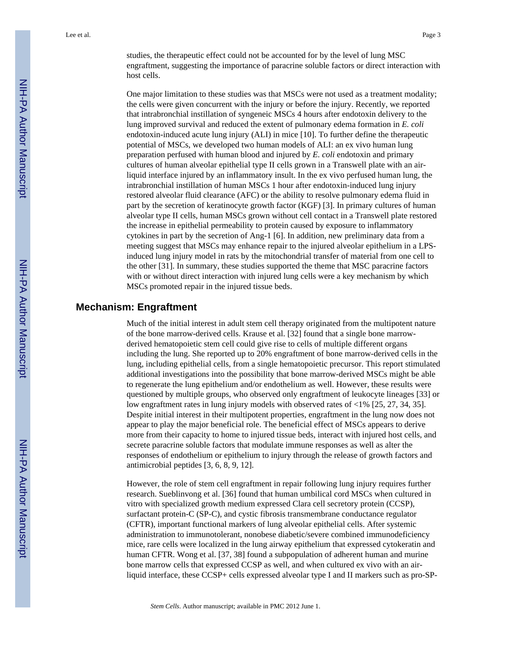studies, the therapeutic effect could not be accounted for by the level of lung MSC engraftment, suggesting the importance of paracrine soluble factors or direct interaction with host cells.

One major limitation to these studies was that MSCs were not used as a treatment modality; the cells were given concurrent with the injury or before the injury. Recently, we reported that intrabronchial instillation of syngeneic MSCs 4 hours after endotoxin delivery to the lung improved survival and reduced the extent of pulmonary edema formation in *E. coli* endotoxin-induced acute lung injury (ALI) in mice [10]. To further define the therapeutic potential of MSCs, we developed two human models of ALI: an ex vivo human lung preparation perfused with human blood and injured by *E. coli* endotoxin and primary cultures of human alveolar epithelial type II cells grown in a Transwell plate with an airliquid interface injured by an inflammatory insult. In the ex vivo perfused human lung, the intrabronchial instillation of human MSCs 1 hour after endotoxin-induced lung injury restored alveolar fluid clearance (AFC) or the ability to resolve pulmonary edema fluid in part by the secretion of keratinocyte growth factor (KGF) [3]. In primary cultures of human alveolar type II cells, human MSCs grown without cell contact in a Transwell plate restored the increase in epithelial permeability to protein caused by exposure to inflammatory cytokines in part by the secretion of Ang-1 [6]. In addition, new preliminary data from a meeting suggest that MSCs may enhance repair to the injured alveolar epithelium in a LPSinduced lung injury model in rats by the mitochondrial transfer of material from one cell to the other [31]. In summary, these studies supported the theme that MSC paracrine factors with or without direct interaction with injured lung cells were a key mechanism by which MSCs promoted repair in the injured tissue beds.

#### **Mechanism: Engraftment**

Much of the initial interest in adult stem cell therapy originated from the multipotent nature of the bone marrow-derived cells. Krause et al. [32] found that a single bone marrowderived hematopoietic stem cell could give rise to cells of multiple different organs including the lung. She reported up to 20% engraftment of bone marrow-derived cells in the lung, including epithelial cells, from a single hematopoietic precursor. This report stimulated additional investigations into the possibility that bone marrow-derived MSCs might be able to regenerate the lung epithelium and/or endothelium as well. However, these results were questioned by multiple groups, who observed only engraftment of leukocyte lineages [33] or low engraftment rates in lung injury models with observed rates of <1% [25, 27, 34, 35]. Despite initial interest in their multipotent properties, engraftment in the lung now does not appear to play the major beneficial role. The beneficial effect of MSCs appears to derive more from their capacity to home to injured tissue beds, interact with injured host cells, and secrete paracrine soluble factors that modulate immune responses as well as alter the responses of endothelium or epithelium to injury through the release of growth factors and antimicrobial peptides [3, 6, 8, 9, 12].

However, the role of stem cell engraftment in repair following lung injury requires further research. Sueblinvong et al. [36] found that human umbilical cord MSCs when cultured in vitro with specialized growth medium expressed Clara cell secretory protein (CCSP), surfactant protein-C (SP-C), and cystic fibrosis transmembrane conductance regulator (CFTR), important functional markers of lung alveolar epithelial cells. After systemic administration to immunotolerant, nonobese diabetic/severe combined immunodeficiency mice, rare cells were localized in the lung airway epithelium that expressed cytokeratin and human CFTR. Wong et al. [37, 38] found a subpopulation of adherent human and murine bone marrow cells that expressed CCSP as well, and when cultured ex vivo with an airliquid interface, these CCSP+ cells expressed alveolar type I and II markers such as pro-SP-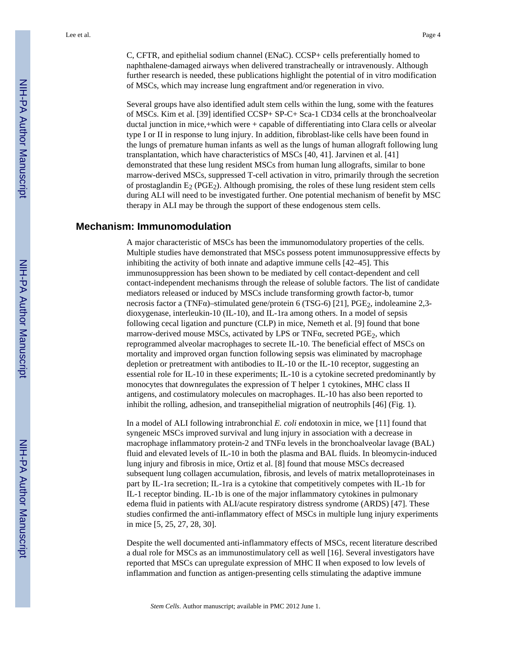C, CFTR, and epithelial sodium channel (ENaC). CCSP+ cells preferentially homed to naphthalene-damaged airways when delivered transtracheally or intravenously. Although further research is needed, these publications highlight the potential of in vitro modification of MSCs, which may increase lung engraftment and/or regeneration in vivo.

Several groups have also identified adult stem cells within the lung, some with the features of MSCs. Kim et al. [39] identified CCSP+ SP-C+ Sca-1 CD34 cells at the bronchoalveolar ductal junction in mice,+which were + capable of differentiating into Clara cells or alveolar type I or II in response to lung injury. In addition, fibroblast-like cells have been found in the lungs of premature human infants as well as the lungs of human allograft following lung transplantation, which have characteristics of MSCs [40, 41]. Jarvinen et al. [41] demonstrated that these lung resident MSCs from human lung allografts, similar to bone marrow-derived MSCs, suppressed T-cell activation in vitro, primarily through the secretion of prostaglandin  $E_2$  (PGE<sub>2</sub>). Although promising, the roles of these lung resident stem cells during ALI will need to be investigated further. One potential mechanism of benefit by MSC therapy in ALI may be through the support of these endogenous stem cells.

## **Mechanism: Immunomodulation**

A major characteristic of MSCs has been the immunomodulatory properties of the cells. Multiple studies have demonstrated that MSCs possess potent immunosuppressive effects by inhibiting the activity of both innate and adaptive immune cells [42–45]. This immunosuppression has been shown to be mediated by cell contact-dependent and cell contact-independent mechanisms through the release of soluble factors. The list of candidate mediators released or induced by MSCs include transforming growth factor-b, tumor necrosis factor a (TNF $\alpha$ )–stimulated gene/protein 6 (TSG-6) [21], PGE<sub>2</sub>, indoleamine 2,3dioxygenase, interleukin-10 (IL-10), and IL-1ra among others. In a model of sepsis following cecal ligation and puncture (CLP) in mice, Nemeth et al. [9] found that bone marrow-derived mouse MSCs, activated by LPS or TNF $\alpha$ , secreted PGE<sub>2</sub>, which reprogrammed alveolar macrophages to secrete IL-10. The beneficial effect of MSCs on mortality and improved organ function following sepsis was eliminated by macrophage depletion or pretreatment with antibodies to IL-10 or the IL-10 receptor, suggesting an essential role for IL-10 in these experiments; IL-10 is a cytokine secreted predominantly by monocytes that downregulates the expression of T helper 1 cytokines, MHC class II antigens, and costimulatory molecules on macrophages. IL-10 has also been reported to inhibit the rolling, adhesion, and transepithelial migration of neutrophils [46] (Fig. 1).

In a model of ALI following intrabronchial *E. coli* endotoxin in mice, we [11] found that syngeneic MSCs improved survival and lung injury in association with a decrease in macrophage inflammatory protein-2 and TNFα levels in the bronchoalveolar lavage (BAL) fluid and elevated levels of IL-10 in both the plasma and BAL fluids. In bleomycin-induced lung injury and fibrosis in mice, Ortiz et al. [8] found that mouse MSCs decreased subsequent lung collagen accumulation, fibrosis, and levels of matrix metalloproteinases in part by IL-1ra secretion; IL-1ra is a cytokine that competitively competes with IL-1b for IL-1 receptor binding. IL-1b is one of the major inflammatory cytokines in pulmonary edema fluid in patients with ALI/acute respiratory distress syndrome (ARDS) [47]. These studies confirmed the anti-inflammatory effect of MSCs in multiple lung injury experiments in mice [5, 25, 27, 28, 30].

Despite the well documented anti-inflammatory effects of MSCs, recent literature described a dual role for MSCs as an immunostimulatory cell as well [16]. Several investigators have reported that MSCs can upregulate expression of MHC II when exposed to low levels of inflammation and function as antigen-presenting cells stimulating the adaptive immune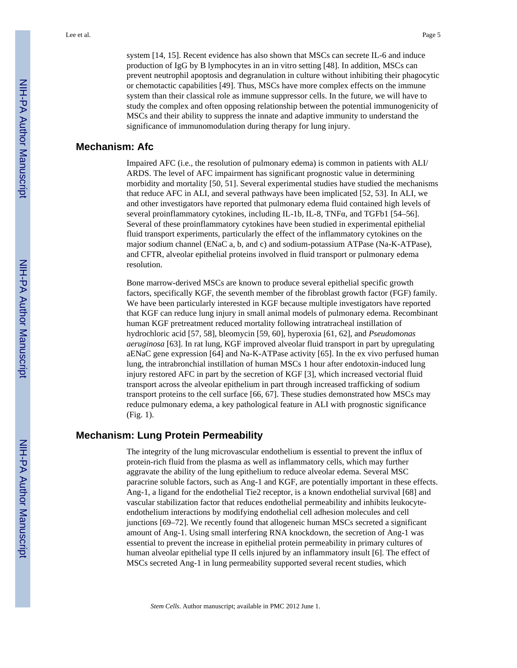system [14, 15]. Recent evidence has also shown that MSCs can secrete IL-6 and induce production of IgG by B lymphocytes in an in vitro setting [48]. In addition, MSCs can prevent neutrophil apoptosis and degranulation in culture without inhibiting their phagocytic or chemotactic capabilities [49]. Thus, MSCs have more complex effects on the immune system than their classical role as immune suppressor cells. In the future, we will have to study the complex and often opposing relationship between the potential immunogenicity of MSCs and their ability to suppress the innate and adaptive immunity to understand the significance of immunomodulation during therapy for lung injury.

#### **Mechanism: Afc**

Impaired AFC (i.e., the resolution of pulmonary edema) is common in patients with ALI/ ARDS. The level of AFC impairment has significant prognostic value in determining morbidity and mortality [50, 51]. Several experimental studies have studied the mechanisms that reduce AFC in ALI, and several pathways have been implicated [52, 53]. In ALI, we and other investigators have reported that pulmonary edema fluid contained high levels of several proinflammatory cytokines, including IL-1b, IL-8, TNFα, and TGFb1 [54–56]. Several of these proinflammatory cytokines have been studied in experimental epithelial fluid transport experiments, particularly the effect of the inflammatory cytokines on the major sodium channel (ENaC a, b, and c) and sodium-potassium ATPase (Na-K-ATPase), and CFTR, alveolar epithelial proteins involved in fluid transport or pulmonary edema resolution.

Bone marrow-derived MSCs are known to produce several epithelial specific growth factors, specifically KGF, the seventh member of the fibroblast growth factor (FGF) family. We have been particularly interested in KGF because multiple investigators have reported that KGF can reduce lung injury in small animal models of pulmonary edema. Recombinant human KGF pretreatment reduced mortality following intratracheal instillation of hydrochloric acid [57, 58], bleomycin [59, 60], hyperoxia [61, 62], and *Pseudomonas aeruginosa* [63]. In rat lung, KGF improved alveolar fluid transport in part by upregulating aENaC gene expression [64] and Na-K-ATPase activity [65]. In the ex vivo perfused human lung, the intrabronchial instillation of human MSCs 1 hour after endotoxin-induced lung injury restored AFC in part by the secretion of KGF [3], which increased vectorial fluid transport across the alveolar epithelium in part through increased trafficking of sodium transport proteins to the cell surface [66, 67]. These studies demonstrated how MSCs may reduce pulmonary edema, a key pathological feature in ALI with prognostic significance (Fig. 1).

#### **Mechanism: Lung Protein Permeability**

The integrity of the lung microvascular endothelium is essential to prevent the influx of protein-rich fluid from the plasma as well as inflammatory cells, which may further aggravate the ability of the lung epithelium to reduce alveolar edema. Several MSC paracrine soluble factors, such as Ang-1 and KGF, are potentially important in these effects. Ang-1, a ligand for the endothelial Tie2 receptor, is a known endothelial survival [68] and vascular stabilization factor that reduces endothelial permeability and inhibits leukocyteendothelium interactions by modifying endothelial cell adhesion molecules and cell junctions [69–72]. We recently found that allogeneic human MSCs secreted a significant amount of Ang-1. Using small interfering RNA knockdown, the secretion of Ang-1 was essential to prevent the increase in epithelial protein permeability in primary cultures of human alveolar epithelial type II cells injured by an inflammatory insult [6]. The effect of MSCs secreted Ang-1 in lung permeability supported several recent studies, which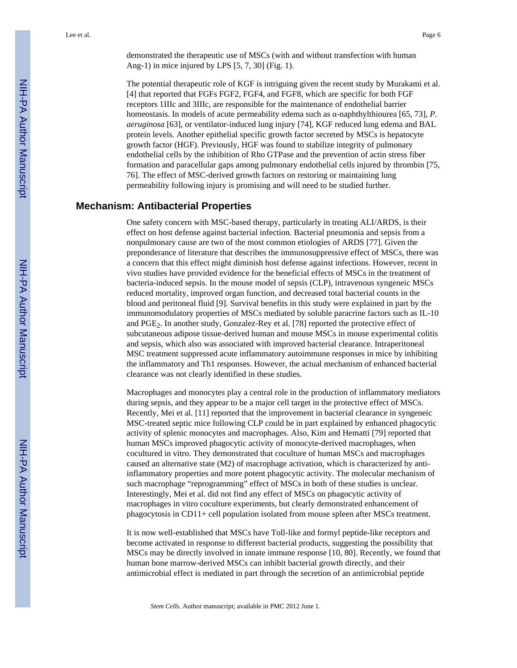demonstrated the therapeutic use of MSCs (with and without transfection with human Ang-1) in mice injured by LPS [5, 7, 30] (Fig. 1).

The potential therapeutic role of KGF is intriguing given the recent study by Murakami et al. [4] that reported that FGFs FGF2, FGF4, and FGF8, which are specific for both FGF receptors 1IIIc and 3IIIc, are responsible for the maintenance of endothelial barrier homeostasis. In models of acute permeability edema such as α-naphthylthiourea [65, 73], *P. aeruginosa* [63], or ventilator-induced lung injury [74], KGF reduced lung edema and BAL protein levels. Another epithelial specific growth factor secreted by MSCs is hepatocyte growth factor (HGF). Previously, HGF was found to stabilize integrity of pulmonary endothelial cells by the inhibition of Rho GTPase and the prevention of actin stress fiber formation and paracellular gaps among pulmonary endothelial cells injured by thrombin [75, 76]. The effect of MSC-derived growth factors on restoring or maintaining lung permeability following injury is promising and will need to be studied further.

#### **Mechanism: Antibacterial Properties**

One safety concern with MSC-based therapy, particularly in treating ALI/ARDS, is their effect on host defense against bacterial infection. Bacterial pneumonia and sepsis from a nonpulmonary cause are two of the most common etiologies of ARDS [77]. Given the preponderance of literature that describes the immunosuppressive effect of MSCs, there was a concern that this effect might diminish host defense against infections. However, recent in vivo studies have provided evidence for the beneficial effects of MSCs in the treatment of bacteria-induced sepsis. In the mouse model of sepsis (CLP), intravenous syngeneic MSCs reduced mortality, improved organ function, and decreased total bacterial counts in the blood and peritoneal fluid [9]. Survival benefits in this study were explained in part by the immunomodulatory properties of MSCs mediated by soluble paracrine factors such as IL-10 and PGE2. In another study, Gonzalez-Rey et al. [78] reported the protective effect of subcutaneous adipose tissue-derived human and mouse MSCs in mouse experimental colitis and sepsis, which also was associated with improved bacterial clearance. Intraperitoneal MSC treatment suppressed acute inflammatory autoimmune responses in mice by inhibiting the inflammatory and Th1 responses. However, the actual mechanism of enhanced bacterial clearance was not clearly identified in these studies.

Macrophages and monocytes play a central role in the production of inflammatory mediators during sepsis, and they appear to be a major cell target in the protective effect of MSCs. Recently, Mei et al. [11] reported that the improvement in bacterial clearance in syngeneic MSC-treated septic mice following CLP could be in part explained by enhanced phagocytic activity of splenic monocytes and macrophages. Also, Kim and Hematti [79] reported that human MSCs improved phagocytic activity of monocyte-derived macrophages, when cocultured in vitro. They demonstrated that coculture of human MSCs and macrophages caused an alternative state (M2) of macrophage activation, which is characterized by antiinflammatory properties and more potent phagocytic activity. The molecular mechanism of such macrophage "reprogramming" effect of MSCs in both of these studies is unclear. Interestingly, Mei et al. did not find any effect of MSCs on phagocytic activity of macrophages in vitro coculture experiments, but clearly demonstrated enhancement of phagocytosis in CD11+ cell population isolated from mouse spleen after MSCs treatment.

It is now well-established that MSCs have Toll-like and formyl peptide-like receptors and become activated in response to different bacterial products, suggesting the possibility that MSCs may be directly involved in innate immune response [10, 80]. Recently, we found that human bone marrow-derived MSCs can inhibit bacterial growth directly, and their antimicrobial effect is mediated in part through the secretion of an antimicrobial peptide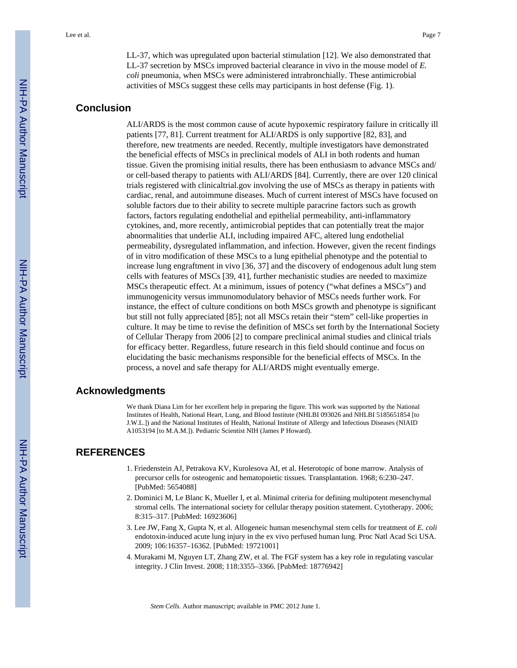LL-37, which was upregulated upon bacterial stimulation [12]. We also demonstrated that LL-37 secretion by MSCs improved bacterial clearance in vivo in the mouse model of *E. coli* pneumonia, when MSCs were administered intrabronchially. These antimicrobial activities of MSCs suggest these cells may participants in host defense (Fig. 1).

## **Conclusion**

ALI/ARDS is the most common cause of acute hypoxemic respiratory failure in critically ill patients [77, 81]. Current treatment for ALI/ARDS is only supportive [82, 83], and therefore, new treatments are needed. Recently, multiple investigators have demonstrated the beneficial effects of MSCs in preclinical models of ALI in both rodents and human tissue. Given the promising initial results, there has been enthusiasm to advance MSCs and/ or cell-based therapy to patients with ALI/ARDS [84]. Currently, there are over 120 clinical trials registered with [clinicaltrial.gov](http://clinicaltrial.gov) involving the use of MSCs as therapy in patients with cardiac, renal, and autoimmune diseases. Much of current interest of MSCs have focused on soluble factors due to their ability to secrete multiple paracrine factors such as growth factors, factors regulating endothelial and epithelial permeability, anti-inflammatory cytokines, and, more recently, antimicrobial peptides that can potentially treat the major abnormalities that underlie ALI, including impaired AFC, altered lung endothelial permeability, dysregulated inflammation, and infection. However, given the recent findings of in vitro modification of these MSCs to a lung epithelial phenotype and the potential to increase lung engraftment in vivo [36, 37] and the discovery of endogenous adult lung stem cells with features of MSCs [39, 41], further mechanistic studies are needed to maximize MSCs therapeutic effect. At a minimum, issues of potency ("what defines a MSCs") and immunogenicity versus immunomodulatory behavior of MSCs needs further work. For instance, the effect of culture conditions on both MSCs growth and phenotype is significant but still not fully appreciated [85]; not all MSCs retain their "stem" cell-like properties in culture. It may be time to revise the definition of MSCs set forth by the International Society of Cellular Therapy from 2006 [2] to compare preclinical animal studies and clinical trials for efficacy better. Regardless, future research in this field should continue and focus on elucidating the basic mechanisms responsible for the beneficial effects of MSCs. In the process, a novel and safe therapy for ALI/ARDS might eventually emerge.

#### **Acknowledgments**

We thank Diana Lim for her excellent help in preparing the figure. This work was supported by the National Institutes of Health, National Heart, Lung, and Blood Institute (NHLBI 093026 and NHLBI 5185651854 [to J.W.L.]) and the National Institutes of Health, National Institute of Allergy and Infectious Diseases (NIAID A1053194 [to M.A.M.]). Pediatric Scientist NIH (James P Howard).

## **REFERENCES**

- 1. Friedenstein AJ, Petrakova KV, Kurolesova AI, et al. Heterotopic of bone marrow. Analysis of precursor cells for osteogenic and hematopoietic tissues. Transplantation. 1968; 6:230–247. [PubMed: 5654088]
- 2. Dominici M, Le Blanc K, Mueller I, et al. Minimal criteria for defining multipotent mesenchymal stromal cells. The international society for cellular therapy position statement. Cytotherapy. 2006; 8:315–317. [PubMed: 16923606]
- 3. Lee JW, Fang X, Gupta N, et al. Allogeneic human mesenchymal stem cells for treatment of *E. coli* endotoxin-induced acute lung injury in the ex vivo perfused human lung. Proc Natl Acad Sci USA. 2009; 106:16357–16362. [PubMed: 19721001]
- 4. Murakami M, Nguyen LT, Zhang ZW, et al. The FGF system has a key role in regulating vascular integrity. J Clin Invest. 2008; 118:3355–3366. [PubMed: 18776942]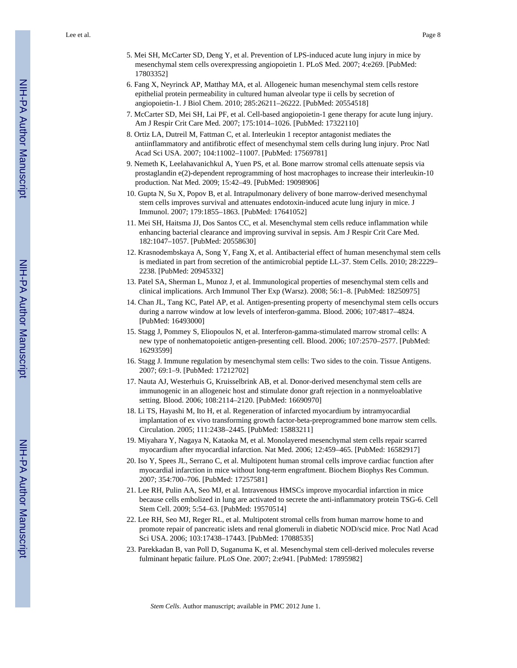- 5. Mei SH, McCarter SD, Deng Y, et al. Prevention of LPS-induced acute lung injury in mice by mesenchymal stem cells overexpressing angiopoietin 1. PLoS Med. 2007; 4:e269. [PubMed: 17803352]
- 6. Fang X, Neyrinck AP, Matthay MA, et al. Allogeneic human mesenchymal stem cells restore epithelial protein permeability in cultured human alveolar type ii cells by secretion of angiopoietin-1. J Biol Chem. 2010; 285:26211–26222. [PubMed: 20554518]
- 7. McCarter SD, Mei SH, Lai PF, et al. Cell-based angiopoietin-1 gene therapy for acute lung injury. Am J Respir Crit Care Med. 2007; 175:1014–1026. [PubMed: 17322110]
- 8. Ortiz LA, Dutreil M, Fattman C, et al. Interleukin 1 receptor antagonist mediates the antiinflammatory and antifibrotic effect of mesenchymal stem cells during lung injury. Proc Natl Acad Sci USA. 2007; 104:11002–11007. [PubMed: 17569781]
- 9. Nemeth K, Leelahavanichkul A, Yuen PS, et al. Bone marrow stromal cells attenuate sepsis via prostaglandin e(2)-dependent reprogramming of host macrophages to increase their interleukin-10 production. Nat Med. 2009; 15:42–49. [PubMed: 19098906]
- 10. Gupta N, Su X, Popov B, et al. Intrapulmonary delivery of bone marrow-derived mesenchymal stem cells improves survival and attenuates endotoxin-induced acute lung injury in mice. J Immunol. 2007; 179:1855–1863. [PubMed: 17641052]
- 11. Mei SH, Haitsma JJ, Dos Santos CC, et al. Mesenchymal stem cells reduce inflammation while enhancing bacterial clearance and improving survival in sepsis. Am J Respir Crit Care Med. 182:1047–1057. [PubMed: 20558630]
- 12. Krasnodembskaya A, Song Y, Fang X, et al. Antibacterial effect of human mesenchymal stem cells is mediated in part from secretion of the antimicrobial peptide LL-37. Stem Cells. 2010; 28:2229– 2238. [PubMed: 20945332]
- 13. Patel SA, Sherman L, Munoz J, et al. Immunological properties of mesenchymal stem cells and clinical implications. Arch Immunol Ther Exp (Warsz). 2008; 56:1–8. [PubMed: 18250975]
- 14. Chan JL, Tang KC, Patel AP, et al. Antigen-presenting property of mesenchymal stem cells occurs during a narrow window at low levels of interferon-gamma. Blood. 2006; 107:4817–4824. [PubMed: 16493000]
- 15. Stagg J, Pommey S, Eliopoulos N, et al. Interferon-gamma-stimulated marrow stromal cells: A new type of nonhematopoietic antigen-presenting cell. Blood. 2006; 107:2570–2577. [PubMed: 16293599]
- 16. Stagg J. Immune regulation by mesenchymal stem cells: Two sides to the coin. Tissue Antigens. 2007; 69:1–9. [PubMed: 17212702]
- 17. Nauta AJ, Westerhuis G, Kruisselbrink AB, et al. Donor-derived mesenchymal stem cells are immunogenic in an allogeneic host and stimulate donor graft rejection in a nonmyeloablative setting. Blood. 2006; 108:2114–2120. [PubMed: 16690970]
- 18. Li TS, Hayashi M, Ito H, et al. Regeneration of infarcted myocardium by intramyocardial implantation of ex vivo transforming growth factor-beta-preprogrammed bone marrow stem cells. Circulation. 2005; 111:2438–2445. [PubMed: 15883211]
- 19. Miyahara Y, Nagaya N, Kataoka M, et al. Monolayered mesenchymal stem cells repair scarred myocardium after myocardial infarction. Nat Med. 2006; 12:459–465. [PubMed: 16582917]
- 20. Iso Y, Spees JL, Serrano C, et al. Multipotent human stromal cells improve cardiac function after myocardial infarction in mice without long-term engraftment. Biochem Biophys Res Commun. 2007; 354:700–706. [PubMed: 17257581]
- 21. Lee RH, Pulin AA, Seo MJ, et al. Intravenous HMSCs improve myocardial infarction in mice because cells embolized in lung are activated to secrete the anti-inflammatory protein TSG-6. Cell Stem Cell. 2009; 5:54–63. [PubMed: 19570514]
- 22. Lee RH, Seo MJ, Reger RL, et al. Multipotent stromal cells from human marrow home to and promote repair of pancreatic islets and renal glomeruli in diabetic NOD/scid mice. Proc Natl Acad Sci USA. 2006; 103:17438–17443. [PubMed: 17088535]
- 23. Parekkadan B, van Poll D, Suganuma K, et al. Mesenchymal stem cell-derived molecules reverse fulminant hepatic failure. PLoS One. 2007; 2:e941. [PubMed: 17895982]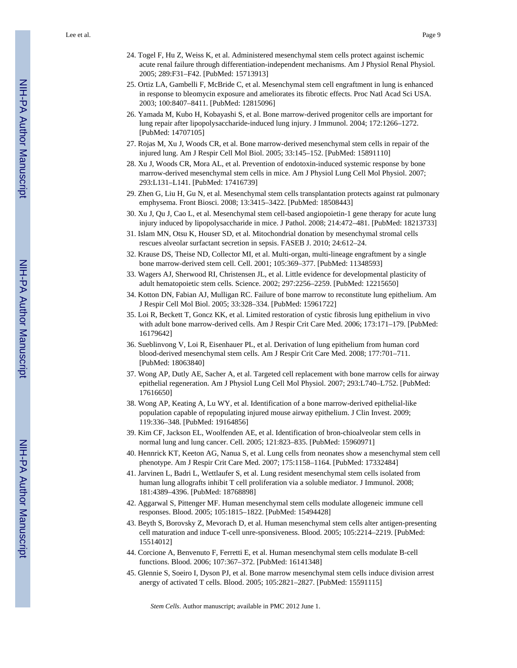Lee et al. Page 9

- 24. Togel F, Hu Z, Weiss K, et al. Administered mesenchymal stem cells protect against ischemic acute renal failure through differentiation-independent mechanisms. Am J Physiol Renal Physiol. 2005; 289:F31–F42. [PubMed: 15713913]
- 25. Ortiz LA, Gambelli F, McBride C, et al. Mesenchymal stem cell engraftment in lung is enhanced in response to bleomycin exposure and ameliorates its fibrotic effects. Proc Natl Acad Sci USA. 2003; 100:8407–8411. [PubMed: 12815096]
- 26. Yamada M, Kubo H, Kobayashi S, et al. Bone marrow-derived progenitor cells are important for lung repair after lipopolysaccharide-induced lung injury. J Immunol. 2004; 172:1266–1272. [PubMed: 14707105]
- 27. Rojas M, Xu J, Woods CR, et al. Bone marrow-derived mesenchymal stem cells in repair of the injured lung. Am J Respir Cell Mol Biol. 2005; 33:145–152. [PubMed: 15891110]
- 28. Xu J, Woods CR, Mora AL, et al. Prevention of endotoxin-induced systemic response by bone marrow-derived mesenchymal stem cells in mice. Am J Physiol Lung Cell Mol Physiol. 2007; 293:L131–L141. [PubMed: 17416739]
- 29. Zhen G, Liu H, Gu N, et al. Mesenchymal stem cells transplantation protects against rat pulmonary emphysema. Front Biosci. 2008; 13:3415–3422. [PubMed: 18508443]
- 30. Xu J, Qu J, Cao L, et al. Mesenchymal stem cell-based angiopoietin-1 gene therapy for acute lung injury induced by lipopolysaccharide in mice. J Pathol. 2008; 214:472–481. [PubMed: 18213733]
- 31. Islam MN, Otsu K, Houser SD, et al. Mitochondrial donation by mesenchymal stromal cells rescues alveolar surfactant secretion in sepsis. FASEB J. 2010; 24:612–24.
- 32. Krause DS, Theise ND, Collector MI, et al. Multi-organ, multi-lineage engraftment by a single bone marrow-derived stem cell. Cell. 2001; 105:369–377. [PubMed: 11348593]
- 33. Wagers AJ, Sherwood RI, Christensen JL, et al. Little evidence for developmental plasticity of adult hematopoietic stem cells. Science. 2002; 297:2256–2259. [PubMed: 12215650]
- 34. Kotton DN, Fabian AJ, Mulligan RC. Failure of bone marrow to reconstitute lung epithelium. Am J Respir Cell Mol Biol. 2005; 33:328–334. [PubMed: 15961722]
- 35. Loi R, Beckett T, Goncz KK, et al. Limited restoration of cystic fibrosis lung epithelium in vivo with adult bone marrow-derived cells. Am J Respir Crit Care Med. 2006; 173:171–179. [PubMed: 16179642]
- 36. Sueblinvong V, Loi R, Eisenhauer PL, et al. Derivation of lung epithelium from human cord blood-derived mesenchymal stem cells. Am J Respir Crit Care Med. 2008; 177:701–711. [PubMed: 18063840]
- 37. Wong AP, Dutly AE, Sacher A, et al. Targeted cell replacement with bone marrow cells for airway epithelial regeneration. Am J Physiol Lung Cell Mol Physiol. 2007; 293:L740–L752. [PubMed: 17616650]
- 38. Wong AP, Keating A, Lu WY, et al. Identification of a bone marrow-derived epithelial-like population capable of repopulating injured mouse airway epithelium. J Clin Invest. 2009; 119:336–348. [PubMed: 19164856]
- 39. Kim CF, Jackson EL, Woolfenden AE, et al. Identification of bron-chioalveolar stem cells in normal lung and lung cancer. Cell. 2005; 121:823–835. [PubMed: 15960971]
- 40. Hennrick KT, Keeton AG, Nanua S, et al. Lung cells from neonates show a mesenchymal stem cell phenotype. Am J Respir Crit Care Med. 2007; 175:1158–1164. [PubMed: 17332484]
- 41. Jarvinen L, Badri L, Wettlaufer S, et al. Lung resident mesenchymal stem cells isolated from human lung allografts inhibit T cell proliferation via a soluble mediator. J Immunol. 2008; 181:4389–4396. [PubMed: 18768898]
- 42. Aggarwal S, Pittenger MF. Human mesenchymal stem cells modulate allogeneic immune cell responses. Blood. 2005; 105:1815–1822. [PubMed: 15494428]
- 43. Beyth S, Borovsky Z, Mevorach D, et al. Human mesenchymal stem cells alter antigen-presenting cell maturation and induce T-cell unre-sponsiveness. Blood. 2005; 105:2214–2219. [PubMed: 15514012]
- 44. Corcione A, Benvenuto F, Ferretti E, et al. Human mesenchymal stem cells modulate B-cell functions. Blood. 2006; 107:367–372. [PubMed: 16141348]
- 45. Glennie S, Soeiro I, Dyson PJ, et al. Bone marrow mesenchymal stem cells induce division arrest anergy of activated T cells. Blood. 2005; 105:2821–2827. [PubMed: 15591115]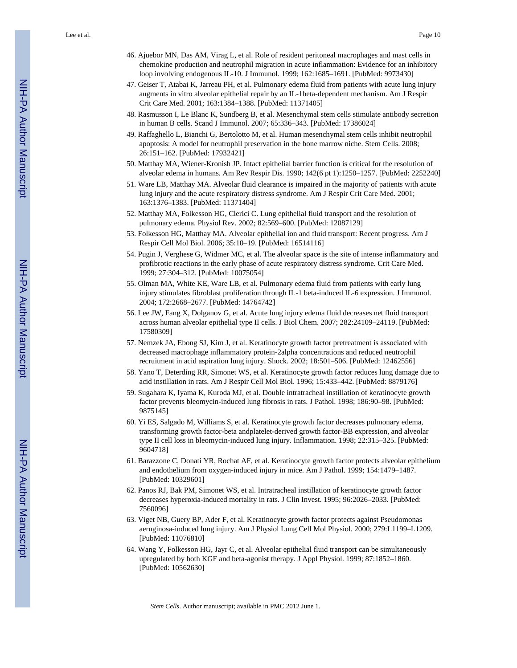Lee et al. Page 10

- 46. Ajuebor MN, Das AM, Virag L, et al. Role of resident peritoneal macrophages and mast cells in chemokine production and neutrophil migration in acute inflammation: Evidence for an inhibitory loop involving endogenous IL-10. J Immunol. 1999; 162:1685–1691. [PubMed: 9973430]
- 47. Geiser T, Atabai K, Jarreau PH, et al. Pulmonary edema fluid from patients with acute lung injury augments in vitro alveolar epithelial repair by an IL-1beta-dependent mechanism. Am J Respir Crit Care Med. 2001; 163:1384–1388. [PubMed: 11371405]
- 48. Rasmusson I, Le Blanc K, Sundberg B, et al. Mesenchymal stem cells stimulate antibody secretion in human B cells. Scand J Immunol. 2007; 65:336–343. [PubMed: 17386024]
- 49. Raffaghello L, Bianchi G, Bertolotto M, et al. Human mesenchymal stem cells inhibit neutrophil apoptosis: A model for neutrophil preservation in the bone marrow niche. Stem Cells. 2008; 26:151–162. [PubMed: 17932421]
- 50. Matthay MA, Wiener-Kronish JP. Intact epithelial barrier function is critical for the resolution of alveolar edema in humans. Am Rev Respir Dis. 1990; 142(6 pt 1):1250–1257. [PubMed: 2252240]
- 51. Ware LB, Matthay MA. Alveolar fluid clearance is impaired in the majority of patients with acute lung injury and the acute respiratory distress syndrome. Am J Respir Crit Care Med. 2001; 163:1376–1383. [PubMed: 11371404]
- 52. Matthay MA, Folkesson HG, Clerici C. Lung epithelial fluid transport and the resolution of pulmonary edema. Physiol Rev. 2002; 82:569–600. [PubMed: 12087129]
- 53. Folkesson HG, Matthay MA. Alveolar epithelial ion and fluid transport: Recent progress. Am J Respir Cell Mol Biol. 2006; 35:10–19. [PubMed: 16514116]
- 54. Pugin J, Verghese G, Widmer MC, et al. The alveolar space is the site of intense inflammatory and profibrotic reactions in the early phase of acute respiratory distress syndrome. Crit Care Med. 1999; 27:304–312. [PubMed: 10075054]
- 55. Olman MA, White KE, Ware LB, et al. Pulmonary edema fluid from patients with early lung injury stimulates fibroblast proliferation through IL-1 beta-induced IL-6 expression. J Immunol. 2004; 172:2668–2677. [PubMed: 14764742]
- 56. Lee JW, Fang X, Dolganov G, et al. Acute lung injury edema fluid decreases net fluid transport across human alveolar epithelial type II cells. J Biol Chem. 2007; 282:24109–24119. [PubMed: 17580309]
- 57. Nemzek JA, Ebong SJ, Kim J, et al. Keratinocyte growth factor pretreatment is associated with decreased macrophage inflammatory protein-2alpha concentrations and reduced neutrophil recruitment in acid aspiration lung injury. Shock. 2002; 18:501–506. [PubMed: 12462556]
- 58. Yano T, Deterding RR, Simonet WS, et al. Keratinocyte growth factor reduces lung damage due to acid instillation in rats. Am J Respir Cell Mol Biol. 1996; 15:433–442. [PubMed: 8879176]
- 59. Sugahara K, Iyama K, Kuroda MJ, et al. Double intratracheal instillation of keratinocyte growth factor prevents bleomycin-induced lung fibrosis in rats. J Pathol. 1998; 186:90–98. [PubMed: 9875145]
- 60. Yi ES, Salgado M, Williams S, et al. Keratinocyte growth factor decreases pulmonary edema, transforming growth factor-beta andplatelet-derived growth factor-BB expression, and alveolar type II cell loss in bleomycin-induced lung injury. Inflammation. 1998; 22:315–325. [PubMed: 9604718]
- 61. Barazzone C, Donati YR, Rochat AF, et al. Keratinocyte growth factor protects alveolar epithelium and endothelium from oxygen-induced injury in mice. Am J Pathol. 1999; 154:1479–1487. [PubMed: 10329601]
- 62. Panos RJ, Bak PM, Simonet WS, et al. Intratracheal instillation of keratinocyte growth factor decreases hyperoxia-induced mortality in rats. J Clin Invest. 1995; 96:2026–2033. [PubMed: 7560096]
- 63. Viget NB, Guery BP, Ader F, et al. Keratinocyte growth factor protects against Pseudomonas aeruginosa-induced lung injury. Am J Physiol Lung Cell Mol Physiol. 2000; 279:L1199–L1209. [PubMed: 11076810]
- 64. Wang Y, Folkesson HG, Jayr C, et al. Alveolar epithelial fluid transport can be simultaneously upregulated by both KGF and beta-agonist therapy. J Appl Physiol. 1999; 87:1852–1860. [PubMed: 10562630]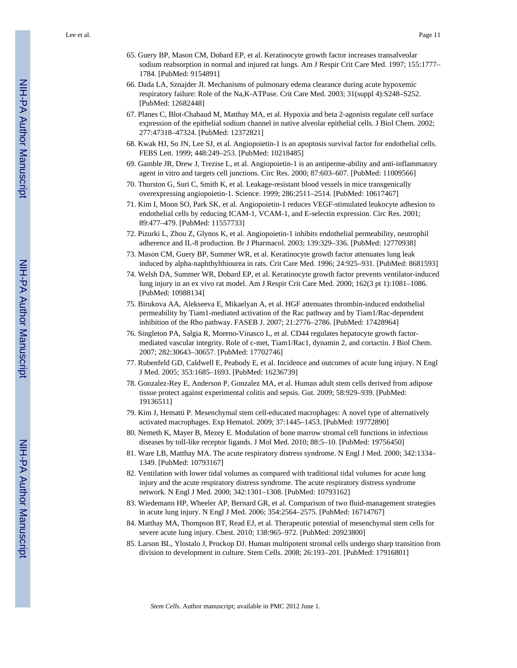- 65. Guery BP, Mason CM, Dobard EP, et al. Keratinocyte growth factor increases transalveolar sodium reabsorption in normal and injured rat lungs. Am J Respir Crit Care Med. 1997; 155:1777– 1784. [PubMed: 9154891]
- 66. Dada LA, Sznajder JI. Mechanisms of pulmonary edema clearance during acute hypoxemic respiratory failure: Role of the Na,K-ATPase. Crit Care Med. 2003; 31(suppl 4):S248–S252. [PubMed: 12682448]
- 67. Planes C, Blot-Chabaud M, Matthay MA, et al. Hypoxia and beta 2-agonists regulate cell surface expression of the epithelial sodium channel in native alveolar epithelial cells. J Biol Chem. 2002; 277:47318–47324. [PubMed: 12372821]
- 68. Kwak HJ, So JN, Lee SJ, et al. Angiopoietin-1 is an apoptosis survival factor for endothelial cells. FEBS Lett. 1999; 448:249–253. [PubMed: 10218485]
- 69. Gamble JR, Drew J, Trezise L, et al. Angiopoietin-1 is an antiperme-ability and anti-inflammatory agent in vitro and targets cell junctions. Circ Res. 2000; 87:603–607. [PubMed: 11009566]
- 70. Thurston G, Suri C, Smith K, et al. Leakage-resistant blood vessels in mice transgenically overexpressing angiopoietin-1. Science. 1999; 286:2511–2514. [PubMed: 10617467]
- 71. Kim I, Moon SO, Park SK, et al. Angiopoietin-1 reduces VEGF-stimulated leukocyte adhesion to endothelial cells by reducing ICAM-1, VCAM-1, and E-selectin expression. Circ Res. 2001; 89:477–479. [PubMed: 11557733]
- 72. Pizurki L, Zhou Z, Glynos K, et al. Angiopoietin-1 inhibits endothelial permeability, neutrophil adherence and IL-8 production. Br J Pharmacol. 2003; 139:329–336. [PubMed: 12770938]
- 73. Mason CM, Guery BP, Summer WR, et al. Keratinocyte growth factor attenuates lung leak induced by alpha-naphthylthiourea in rats. Crit Care Med. 1996; 24:925–931. [PubMed: 8681593]
- 74. Welsh DA, Summer WR, Dobard EP, et al. Keratinocyte growth factor prevents ventilator-induced lung injury in an ex vivo rat model. Am J Respir Crit Care Med. 2000; 162(3 pt 1):1081–1086. [PubMed: 10988134]
- 75. Birukova AA, Alekseeva E, Mikaelyan A, et al. HGF attenuates thrombin-induced endothelial permeability by Tiam1-mediated activation of the Rac pathway and by Tiam1/Rac-dependent inhibition of the Rho pathway. FASEB J. 2007; 21:2776–2786. [PubMed: 17428964]
- 76. Singleton PA, Salgia R, Moreno-Vinasco L, et al. CD44 regulates hepatocyte growth factormediated vascular integrity. Role of c-met, Tiam1/Rac1, dynamin 2, and cortactin. J Biol Chem. 2007; 282:30643–30657. [PubMed: 17702746]
- 77. Rubenfeld GD, Caldwell E, Peabody E, et al. Incidence and outcomes of acute lung injury. N Engl J Med. 2005; 353:1685–1693. [PubMed: 16236739]
- 78. Gonzalez-Rey E, Anderson P, Gonzalez MA, et al. Human adult stem cells derived from adipose tissue protect against experimental colitis and sepsis. Gut. 2009; 58:929–939. [PubMed: 19136511]
- 79. Kim J, Hematti P. Mesenchymal stem cell-educated macrophages: A novel type of alternatively activated macrophages. Exp Hematol. 2009; 37:1445–1453. [PubMed: 19772890]
- 80. Nemeth K, Mayer B, Mezey E. Modulation of bone marrow stromal cell functions in infectious diseases by toll-like receptor ligands. J Mol Med. 2010; 88:5–10. [PubMed: 19756450]
- 81. Ware LB, Matthay MA. The acute respiratory distress syndrome. N Engl J Med. 2000; 342:1334– 1349. [PubMed: 10793167]
- 82. Ventilation with lower tidal volumes as compared with traditional tidal volumes for acute lung injury and the acute respiratory distress syndrome. The acute respiratory distress syndrome network. N Engl J Med. 2000; 342:1301–1308. [PubMed: 10793162]
- 83. Wiedemann HP, Wheeler AP, Bernard GR, et al. Comparison of two fluid-management strategies in acute lung injury. N Engl J Med. 2006; 354:2564–2575. [PubMed: 16714767]
- 84. Matthay MA, Thompson BT, Read EJ, et al. Therapeutic potential of mesenchymal stem cells for severe acute lung injury. Chest. 2010; 138:965–972. [PubMed: 20923800]
- 85. Larson BL, Ylostalo J, Prockop DJ. Human multipotent stromal cells undergo sharp transition from division to development in culture. Stem Cells. 2008; 26:193–201. [PubMed: 17916801]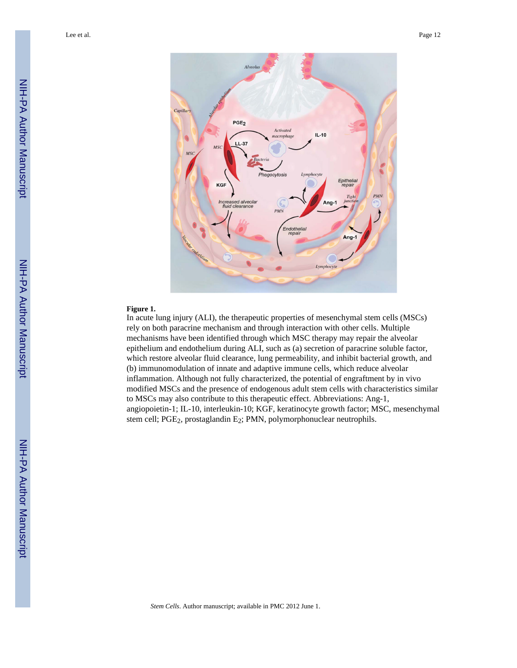Lee et al. Page 12



#### **Figure 1.**

In acute lung injury (ALI), the therapeutic properties of mesenchymal stem cells (MSCs) rely on both paracrine mechanism and through interaction with other cells. Multiple mechanisms have been identified through which MSC therapy may repair the alveolar epithelium and endothelium during ALI, such as (a) secretion of paracrine soluble factor, which restore alveolar fluid clearance, lung permeability, and inhibit bacterial growth, and (b) immunomodulation of innate and adaptive immune cells, which reduce alveolar inflammation. Although not fully characterized, the potential of engraftment by in vivo modified MSCs and the presence of endogenous adult stem cells with characteristics similar to MSCs may also contribute to this therapeutic effect. Abbreviations: Ang-1, angiopoietin-1; IL-10, interleukin-10; KGF, keratinocyte growth factor; MSC, mesenchymal stem cell; PGE<sub>2</sub>, prostaglandin E<sub>2</sub>; PMN, polymorphonuclear neutrophils.